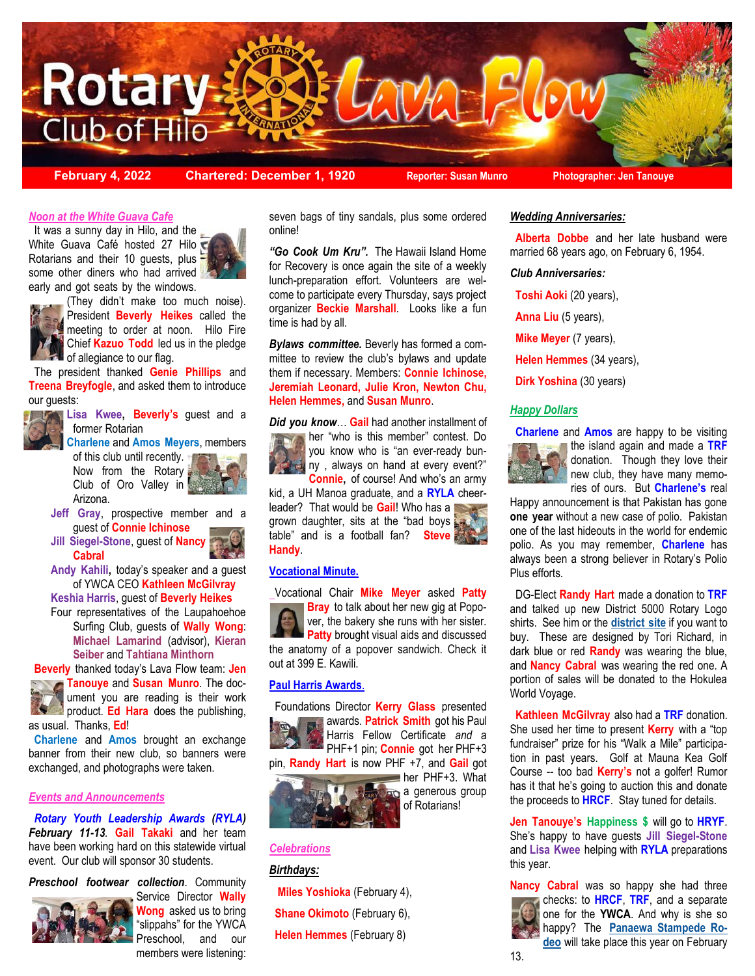

**February 4, 2022 Chartered: December 1, 1920 Reporter: Susan Munro Photographer: Jen Tanouye**

# *Noon at the White Guava Cafe*

some other diners who had arrived It was a sunny day in Hilo, and the White Guava Café hosted 27 Hilo Rotarians and their 10 guests, plus early and got seats by the windows.





(They didn't make too much noise). President **Beverly Heikes** called the meeting to order at noon. Hilo Fire Chief **Kazuo Todd** led us in the pledge of allegiance to our flag.

 The president thanked **Genie Phillips** and **Treena Breyfogle**, and asked them to introduce our guests:



**Lisa Kwee, Beverly's** guest and a former Rotarian

**Charlene** and **Amos Meyers**, members of this club until recently. Now from the Rotary Club of Oro Valley in Arizona.

- **Jeff Gray**, prospective member and a guest of **Connie Ichinose**
- **Jill Siegel-Stone**, guest of **Nancy Cabral**
- **Andy Kahili,** today's speaker and a guest of YWCA CEO **Kathleen McGilvray**
- **Keshia Harris**, guest of **Beverly Heikes**
- Four representatives of the Laupahoehoe Surfing Club, guests of **Wally Wong**: **Michael Lamarind** (advisor), **Kieran Seiber** and **Tahtiana Minthorn**

 **Beverly** thanked today's Lava Flow team: **Jen Tanouye** and **Susan Munro**. The doc-



ument you are reading is their work product. **Ed Hara** does the publishing, as usual. Thanks, **Ed**!

 **Charlene** and **Amos** brought an exchange banner from their new club, so banners were exchanged, and photographs were taken.

#### *Events and Announcements*

 *Rotary Youth Leadership Awards (RYLA) February 11-13.* **Gail Takaki** and her team have been working hard on this statewide virtual event. Our club will sponsor 30 students.

# *Preschool footwear collection*. Community



Service Director **Wally Wong** asked us to bring "slippahs" for the YWCA Preschool, and our members were listening:

seven bags of tiny sandals, plus some ordered online!

*"Go Cook Um Kru".* The Hawaii Island Home for Recovery is once again the site of a weekly lunch-preparation effort. Volunteers are welcome to participate every Thursday, says project organizer **Beckie Marshall**. Looks like a fun time is had by all.

*Bylaws committee.* Beverly has formed a committee to review the club's bylaws and update them if necessary. Members: **Connie Ichinose, Jeremiah Leonard, Julie Kron, Newton Chu, Helen Hemmes,** and **Susan Munro**.

*Did you know*… **Gail** had another installment of her "who is this member" contest. Do you know who is "an ever-ready bunny , always on hand at every event?" **Connie,** of course! And who's an army

kid, a UH Manoa graduate, and a **RYLA** cheerleader? That would be **Gail**! Who has a grown daughter, sits at the "bad boys table" and is a football fan? **Steve Handy**.

#### **Vocational Minute.**

Vocational Chair **Mike Meyer** asked **Patty Bray** to talk about her new gig at Popover, the bakery she runs with her sister. **Patty** brought visual aids and discussed the anatomy of a popover sandwich. Check it out at 399 E. Kawili.

## **Paul Harris Awards**.

 Foundations Director **Kerry Glass** presented awards. **Patrick Smith** got his Paul Harris Fellow Certificate *and* a PHF+1 pin; **Connie** got her PHF+3 pin, **Randy Hart** is now PHF +7, and **Gail** got



her PHF+3. What a generous group of Rotarians!

### *Celebrations*

## *Birthdays:*

 **Miles Yoshioka** (February 4), **Shane Okimoto** (February 6), **Helen Hemmes** (February 8)

#### *Wedding Anniversaries:*

 **Alberta Dobbe** and her late husband were married 68 years ago, on February 6, 1954.

#### *Club Anniversaries:*

 **Toshi Aoki** (20 years), **Anna Liu** (5 years), **Mike Meyer** (7 years), **Helen Hemmes** (34 years), **Dirk Yoshina** (30 years)

### *Happy Dollars*

 **Charlene** and **Amos** are happy to be visiting



**the island again and made a TRF** donation. Though they love their new club, they have many memories of ours. But **Charlene's** real

Happy announcement is that Pakistan has gone **one year** without a new case of polio. Pakistan one of the last hideouts in the world for endemic polio. As you may remember, **Charlene** has always been a strong believer in Rotary's Polio Plus efforts.

 DG-Elect **Randy Hart** made a donation to **TRF** and talked up new District 5000 Rotary Logo shirts. See him or the **[district site](https://rotaryd5000.org/SitePage/president-officers-resources/district-shirts)** if you want to buy. These are designed by Tori Richard, in dark blue or red **Randy** was wearing the blue, and **Nancy Cabral** was wearing the red one. A portion of sales will be donated to the Hokulea World Voyage.

 **Kathleen McGilvray** also had a **TRF** donation. She used her time to present **Kerry** with a "top fundraiser" prize for his "Walk a Mile" participation in past years. Golf at Mauna Kea Golf Course -- too bad **Kerry's** not a golfer! Rumor has it that he's going to auction this and donate the proceeds to **HRCF**. Stay tuned for details.

**Jen Tanouye's Happiness \$** will go to **HRYF**. She's happy to have guests **Jill Siegel-Stone** and **Lisa Kwee** helping with **RYLA** preparations this year.